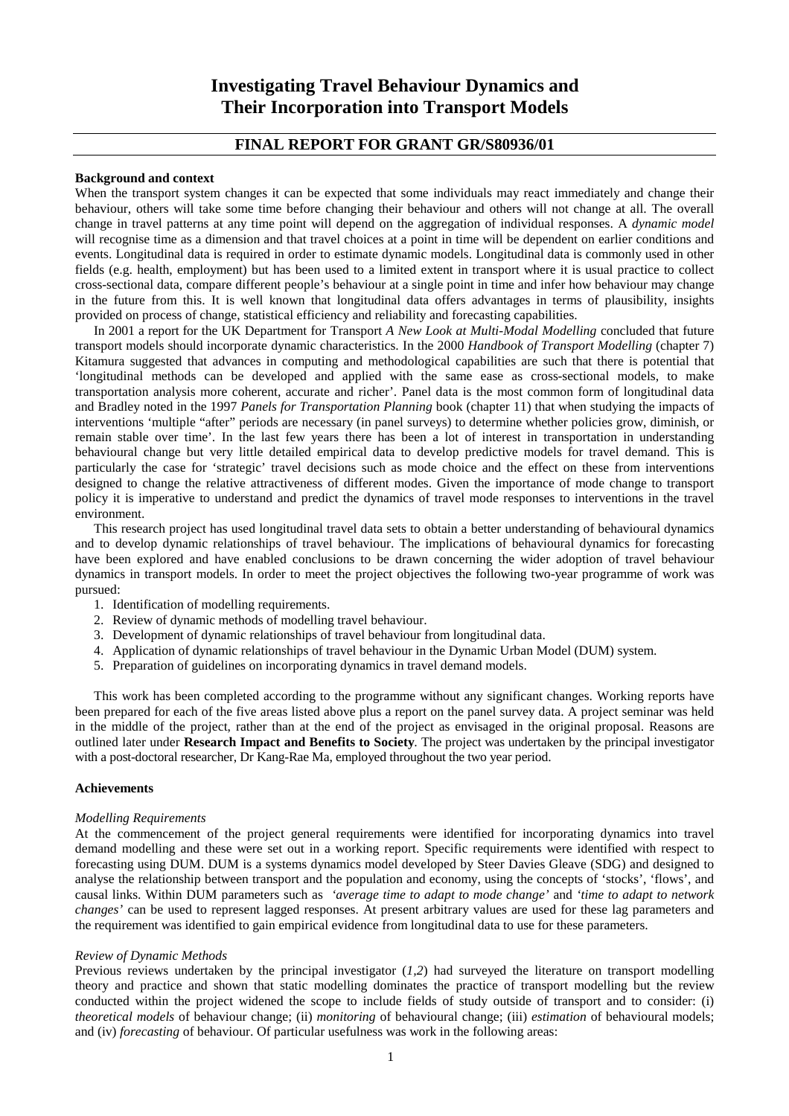# **FINAL REPORT FOR GRANT GR/S80936/01**

### **Background and context**

When the transport system changes it can be expected that some individuals may react immediately and change their behaviour, others will take some time before changing their behaviour and others will not change at all. The overall change in travel patterns at any time point will depend on the aggregation of individual responses. A *dynamic model* will recognise time as a dimension and that travel choices at a point in time will be dependent on earlier conditions and events. Longitudinal data is required in order to estimate dynamic models. Longitudinal data is commonly used in other fields (e.g. health, employment) but has been used to a limited extent in transport where it is usual practice to collect cross-sectional data, compare different people's behaviour at a single point in time and infer how behaviour may change in the future from this. It is well known that longitudinal data offers advantages in terms of plausibility, insights provided on process of change, statistical efficiency and reliability and forecasting capabilities.

In 2001 a report for the UK Department for Transport *A New Look at Multi-Modal Modelling* concluded that future transport models should incorporate dynamic characteristics. In the 2000 *Handbook of Transport Modelling* (chapter 7) Kitamura suggested that advances in computing and methodological capabilities are such that there is potential that 'longitudinal methods can be developed and applied with the same ease as cross-sectional models, to make transportation analysis more coherent, accurate and richer'. Panel data is the most common form of longitudinal data and Bradley noted in the 1997 *Panels for Transportation Planning* book (chapter 11) that when studying the impacts of interventions 'multiple "after" periods are necessary (in panel surveys) to determine whether policies grow, diminish, or remain stable over time'. In the last few years there has been a lot of interest in transportation in understanding behavioural change but very little detailed empirical data to develop predictive models for travel demand. This is particularly the case for 'strategic' travel decisions such as mode choice and the effect on these from interventions designed to change the relative attractiveness of different modes. Given the importance of mode change to transport policy it is imperative to understand and predict the dynamics of travel mode responses to interventions in the travel environment.

This research project has used longitudinal travel data sets to obtain a better understanding of behavioural dynamics and to develop dynamic relationships of travel behaviour. The implications of behavioural dynamics for forecasting have been explored and have enabled conclusions to be drawn concerning the wider adoption of travel behaviour dynamics in transport models. In order to meet the project objectives the following two-year programme of work was pursued:

- 1. Identification of modelling requirements.
- 2. Review of dynamic methods of modelling travel behaviour.
- 3. Development of dynamic relationships of travel behaviour from longitudinal data.
- 4. Application of dynamic relationships of travel behaviour in the Dynamic Urban Model (DUM) system.
- 5. Preparation of guidelines on incorporating dynamics in travel demand models.

This work has been completed according to the programme without any significant changes. Working reports have been prepared for each of the five areas listed above plus a report on the panel survey data. A project seminar was held in the middle of the project, rather than at the end of the project as envisaged in the original proposal. Reasons are outlined later under **Research Impact and Benefits to Society**. The project was undertaken by the principal investigator with a post-doctoral researcher, Dr Kang-Rae Ma, employed throughout the two year period.

#### **Achievements**

#### *Modelling Requirements*

At the commencement of the project general requirements were identified for incorporating dynamics into travel demand modelling and these were set out in a working report. Specific requirements were identified with respect to forecasting using DUM. DUM is a systems dynamics model developed by Steer Davies Gleave (SDG) and designed to analyse the relationship between transport and the population and economy, using the concepts of 'stocks', 'flows', and causal links. Within DUM parameters such as *'average time to adapt to mode change'* and *'time to adapt to network changes'* can be used to represent lagged responses. At present arbitrary values are used for these lag parameters and the requirement was identified to gain empirical evidence from longitudinal data to use for these parameters.

#### *Review of Dynamic Methods*

Previous reviews undertaken by the principal investigator (*1,2*) had surveyed the literature on transport modelling theory and practice and shown that static modelling dominates the practice of transport modelling but the review conducted within the project widened the scope to include fields of study outside of transport and to consider: (i) *theoretical models* of behaviour change; (ii) *monitoring* of behavioural change; (iii) *estimation* of behavioural models; and (iv) *forecasting* of behaviour. Of particular usefulness was work in the following areas: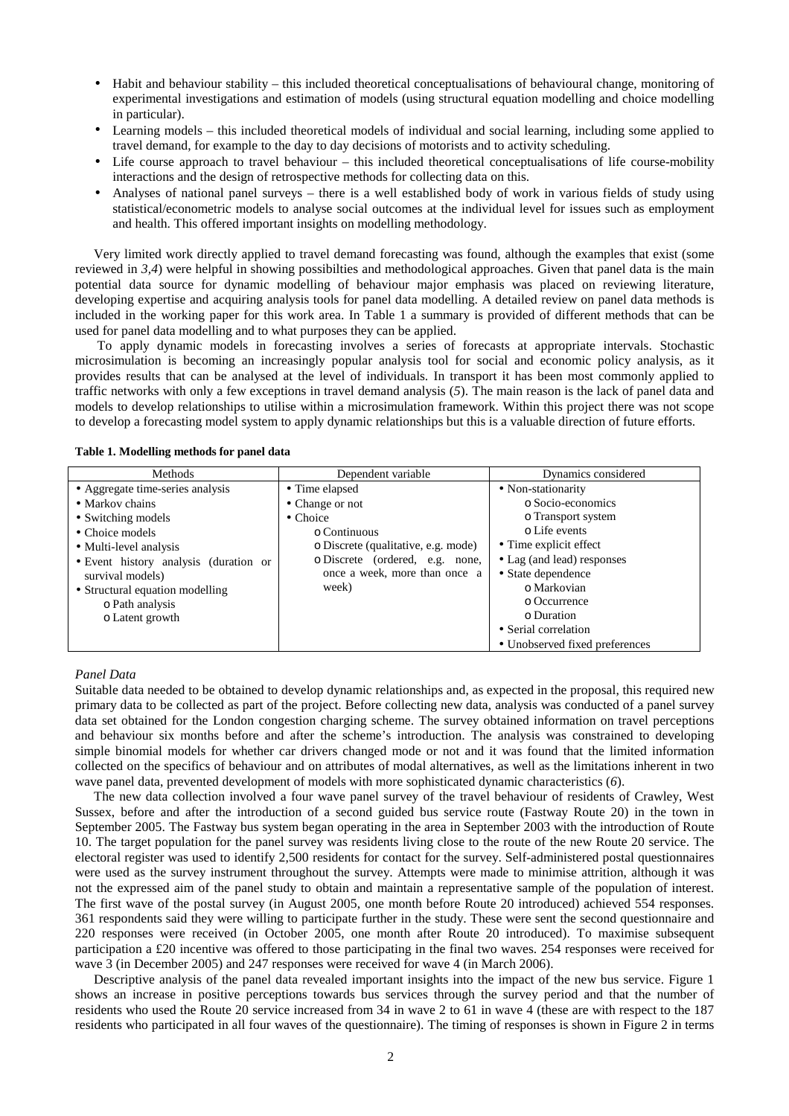- Habit and behaviour stability this included theoretical conceptualisations of behavioural change, monitoring of experimental investigations and estimation of models (using structural equation modelling and choice modelling in particular).
- Learning models this included theoretical models of individual and social learning, including some applied to travel demand, for example to the day to day decisions of motorists and to activity scheduling.
- Life course approach to travel behaviour this included theoretical conceptualisations of life course-mobility interactions and the design of retrospective methods for collecting data on this.
- Analyses of national panel surveys there is a well established body of work in various fields of study using statistical/econometric models to analyse social outcomes at the individual level for issues such as employment and health. This offered important insights on modelling methodology.

Very limited work directly applied to travel demand forecasting was found, although the examples that exist (some reviewed in *3,4*) were helpful in showing possibilties and methodological approaches. Given that panel data is the main potential data source for dynamic modelling of behaviour major emphasis was placed on reviewing literature, developing expertise and acquiring analysis tools for panel data modelling. A detailed review on panel data methods is included in the working paper for this work area. In Table 1 a summary is provided of different methods that can be used for panel data modelling and to what purposes they can be applied.

To apply dynamic models in forecasting involves a series of forecasts at appropriate intervals. Stochastic microsimulation is becoming an increasingly popular analysis tool for social and economic policy analysis, as it provides results that can be analysed at the level of individuals. In transport it has been most commonly applied to traffic networks with only a few exceptions in travel demand analysis (*5*). The main reason is the lack of panel data and models to develop relationships to utilise within a microsimulation framework. Within this project there was not scope to develop a forecasting model system to apply dynamic relationships but this is a valuable direction of future efforts.

| Methods                               | Dependent variable                  | Dynamics considered            |
|---------------------------------------|-------------------------------------|--------------------------------|
| • Aggregate time-series analysis      | • Time elapsed                      | • Non-stationarity             |
| • Markov chains                       | • Change or not                     | o Socio-economics              |
| • Switching models                    | $\cdot$ Choice                      | o Transport system             |
| • Choice models                       | $\circ$ Continuous                  | o Life events                  |
| • Multi-level analysis                | o Discrete (qualitative, e.g. mode) | • Time explicit effect         |
| • Event history analysis (duration or | o Discrete (ordered, e.g. none,     | • Lag (and lead) responses     |
| survival models)                      | once a week, more than once a       | • State dependence             |
| • Structural equation modelling       | week)                               | o Markovian                    |
| o Path analysis                       |                                     | o Occurrence                   |
| o Latent growth                       |                                     | o Duration                     |
|                                       |                                     | • Serial correlation           |
|                                       |                                     | • Unobserved fixed preferences |

#### **Table 1. Modelling methods for panel data**

## *Panel Data*

Suitable data needed to be obtained to develop dynamic relationships and, as expected in the proposal, this required new primary data to be collected as part of the project. Before collecting new data, analysis was conducted of a panel survey data set obtained for the London congestion charging scheme. The survey obtained information on travel perceptions and behaviour six months before and after the scheme's introduction. The analysis was constrained to developing simple binomial models for whether car drivers changed mode or not and it was found that the limited information collected on the specifics of behaviour and on attributes of modal alternatives, as well as the limitations inherent in two wave panel data, prevented development of models with more sophisticated dynamic characteristics (*6*).

The new data collection involved a four wave panel survey of the travel behaviour of residents of Crawley, West Sussex, before and after the introduction of a second guided bus service route (Fastway Route 20) in the town in September 2005. The Fastway bus system began operating in the area in September 2003 with the introduction of Route 10. The target population for the panel survey was residents living close to the route of the new Route 20 service. The electoral register was used to identify 2,500 residents for contact for the survey. Self-administered postal questionnaires were used as the survey instrument throughout the survey. Attempts were made to minimise attrition, although it was not the expressed aim of the panel study to obtain and maintain a representative sample of the population of interest. The first wave of the postal survey (in August 2005, one month before Route 20 introduced) achieved 554 responses. 361 respondents said they were willing to participate further in the study. These were sent the second questionnaire and 220 responses were received (in October 2005, one month after Route 20 introduced). To maximise subsequent participation a £20 incentive was offered to those participating in the final two waves. 254 responses were received for wave 3 (in December 2005) and 247 responses were received for wave 4 (in March 2006).

Descriptive analysis of the panel data revealed important insights into the impact of the new bus service. Figure 1 shows an increase in positive perceptions towards bus services through the survey period and that the number of residents who used the Route 20 service increased from 34 in wave 2 to 61 in wave 4 (these are with respect to the 187 residents who participated in all four waves of the questionnaire). The timing of responses is shown in Figure 2 in terms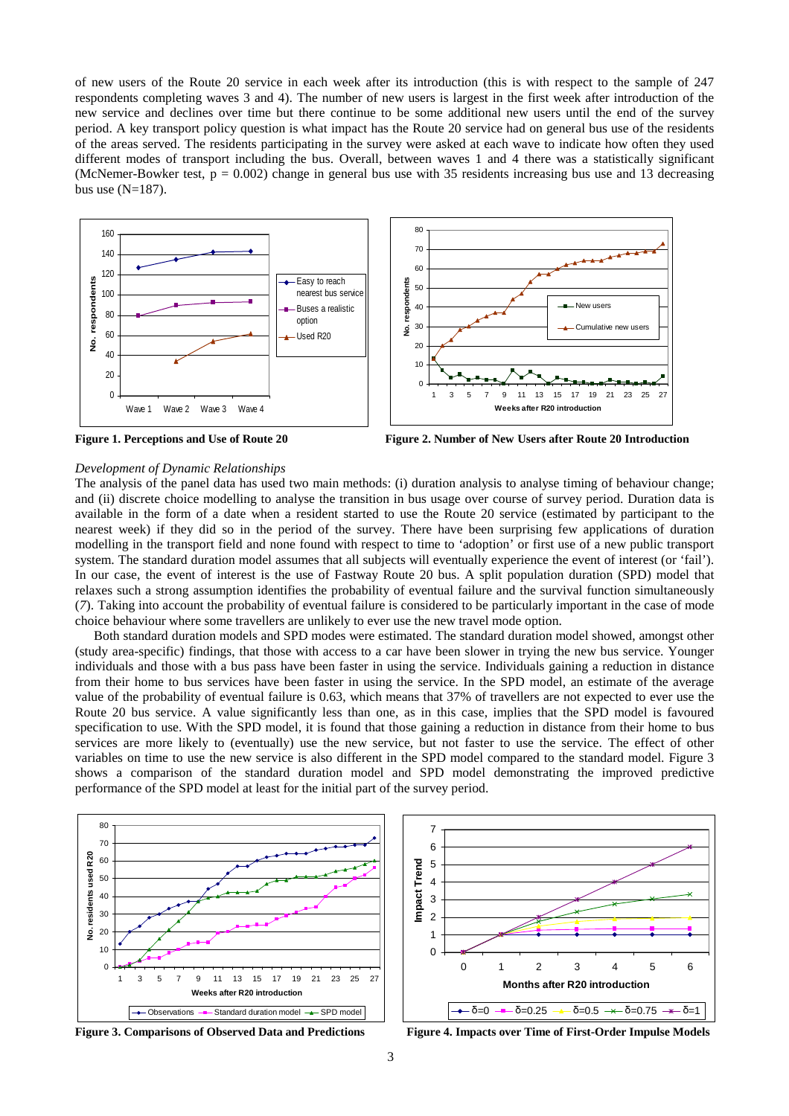of new users of the Route 20 service in each week after its introduction (this is with respect to the sample of 247 respondents completing waves 3 and 4). The number of new users is largest in the first week after introduction of the new service and declines over time but there continue to be some additional new users until the end of the survey period. A key transport policy question is what impact has the Route 20 service had on general bus use of the residents of the areas served. The residents participating in the survey were asked at each wave to indicate how often they used different modes of transport including the bus. Overall, between waves 1 and 4 there was a statistically significant (McNemer-Bowker test,  $p = 0.002$ ) change in general bus use with 35 residents increasing bus use and 13 decreasing bus use  $(N=187)$ .





**Figure 1. Perceptions and Use of Route 20 Figure 2. Number of New Users after Route 20 Introduction**

#### *Development of Dynamic Relationships*

The analysis of the panel data has used two main methods: (i) duration analysis to analyse timing of behaviour change; and (ii) discrete choice modelling to analyse the transition in bus usage over course of survey period. Duration data is available in the form of a date when a resident started to use the Route 20 service (estimated by participant to the nearest week) if they did so in the period of the survey. There have been surprising few applications of duration modelling in the transport field and none found with respect to time to 'adoption' or first use of a new public transport system. The standard duration model assumes that all subjects will eventually experience the event of interest (or 'fail'). In our case, the event of interest is the use of Fastway Route 20 bus. A split population duration (SPD) model that relaxes such a strong assumption identifies the probability of eventual failure and the survival function simultaneously (*7*). Taking into account the probability of eventual failure is considered to be particularly important in the case of mode choice behaviour where some travellers are unlikely to ever use the new travel mode option.

Both standard duration models and SPD modes were estimated. The standard duration model showed, amongst other (study area-specific) findings, that those with access to a car have been slower in trying the new bus service. Younger individuals and those with a bus pass have been faster in using the service. Individuals gaining a reduction in distance from their home to bus services have been faster in using the service. In the SPD model, an estimate of the average value of the probability of eventual failure is 0.63, which means that 37% of travellers are not expected to ever use the Route 20 bus service. A value significantly less than one, as in this case, implies that the SPD model is favoured specification to use. With the SPD model, it is found that those gaining a reduction in distance from their home to bus services are more likely to (eventually) use the new service, but not faster to use the service. The effect of other variables on time to use the new service is also different in the SPD model compared to the standard model. Figure 3 shows a comparison of the standard duration model and SPD model demonstrating the improved predictive performance of the SPD model at least for the initial part of the survey period.





**Figure 3. Comparisons of Observed Data and Predictions Figure 4. Impacts over Time of First-Order Impulse Models**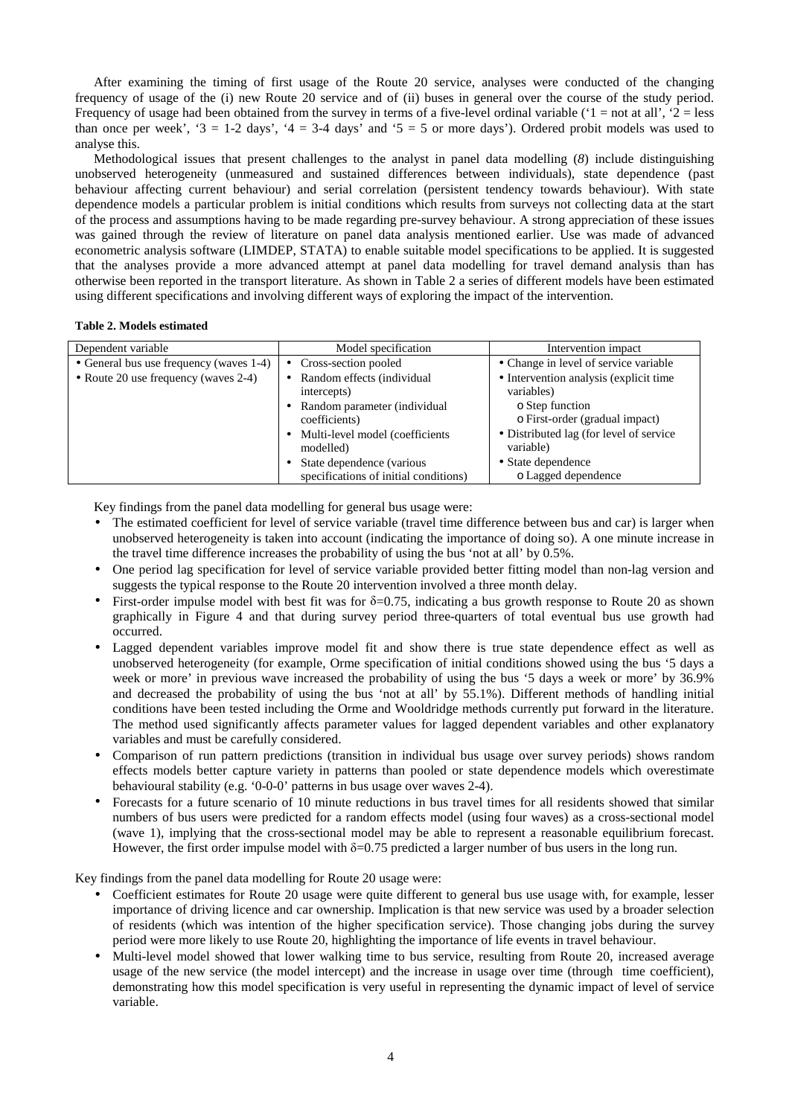After examining the timing of first usage of the Route 20 service, analyses were conducted of the changing frequency of usage of the (i) new Route 20 service and of (ii) buses in general over the course of the study period. Frequency of usage had been obtained from the survey in terms of a five-level ordinal variable ( $1 = not$  at all',  $2 = less$ ) than once per week', '3 = 1-2 days', '4 = 3-4 days' and '5 = 5 or more days'). Ordered probit models was used to analyse this.

Methodological issues that present challenges to the analyst in panel data modelling (*8*) include distinguishing unobserved heterogeneity (unmeasured and sustained differences between individuals), state dependence (past behaviour affecting current behaviour) and serial correlation (persistent tendency towards behaviour). With state dependence models a particular problem is initial conditions which results from surveys not collecting data at the start of the process and assumptions having to be made regarding pre-survey behaviour. A strong appreciation of these issues was gained through the review of literature on panel data analysis mentioned earlier. Use was made of advanced econometric analysis software (LIMDEP, STATA) to enable suitable model specifications to be applied. It is suggested that the analyses provide a more advanced attempt at panel data modelling for travel demand analysis than has otherwise been reported in the transport literature. As shown in Table 2 a series of different models have been estimated using different specifications and involving different ways of exploring the impact of the intervention.

#### **Table 2. Models estimated**

| Dependent variable                      | Model specification                                                | Intervention impact                                  |
|-----------------------------------------|--------------------------------------------------------------------|------------------------------------------------------|
| • General bus use frequency (waves 1-4) | Cross-section pooled                                               | • Change in level of service variable                |
| • Route 20 use frequency (waves 2-4)    | Random effects (individual<br>intercepts)                          | • Intervention analysis (explicit time<br>variables) |
|                                         | Random parameter (individual<br>coefficients)                      | o Step function<br>o First-order (gradual impact)    |
|                                         | Multi-level model (coefficients<br>modelled)                       | • Distributed lag (for level of service<br>variable) |
|                                         | State dependence (various<br>specifications of initial conditions) | • State dependence<br>o Lagged dependence            |

Key findings from the panel data modelling for general bus usage were:

- The estimated coefficient for level of service variable (travel time difference between bus and car) is larger when unobserved heterogeneity is taken into account (indicating the importance of doing so). A one minute increase in the travel time difference increases the probability of using the bus 'not at all' by 0.5%.
- One period lag specification for level of service variable provided better fitting model than non-lag version and suggests the typical response to the Route 20 intervention involved a three month delay.
- First-order impulse model with best fit was for  $\delta$ =0.75, indicating a bus growth response to Route 20 as shown graphically in Figure 4 and that during survey period three-quarters of total eventual bus use growth had occurred.
- Lagged dependent variables improve model fit and show there is true state dependence effect as well as unobserved heterogeneity (for example, Orme specification of initial conditions showed using the bus '5 days a week or more' in previous wave increased the probability of using the bus '5 days a week or more' by 36.9% and decreased the probability of using the bus 'not at all' by 55.1%). Different methods of handling initial conditions have been tested including the Orme and Wooldridge methods currently put forward in the literature. The method used significantly affects parameter values for lagged dependent variables and other explanatory variables and must be carefully considered.
- Comparison of run pattern predictions (transition in individual bus usage over survey periods) shows random effects models better capture variety in patterns than pooled or state dependence models which overestimate behavioural stability (e.g. '0-0-0' patterns in bus usage over waves 2-4).
- Forecasts for a future scenario of 10 minute reductions in bus travel times for all residents showed that similar numbers of bus users were predicted for a random effects model (using four waves) as a cross-sectional model (wave 1), implying that the cross-sectional model may be able to represent a reasonable equilibrium forecast. However, the first order impulse model with  $\delta$ =0.75 predicted a larger number of bus users in the long run.

Key findings from the panel data modelling for Route 20 usage were:

- Coefficient estimates for Route 20 usage were quite different to general bus use usage with, for example, lesser importance of driving licence and car ownership. Implication is that new service was used by a broader selection of residents (which was intention of the higher specification service). Those changing jobs during the survey period were more likely to use Route 20, highlighting the importance of life events in travel behaviour.
- Multi-level model showed that lower walking time to bus service, resulting from Route 20, increased average usage of the new service (the model intercept) and the increase in usage over time (through time coefficient), demonstrating how this model specification is very useful in representing the dynamic impact of level of service variable.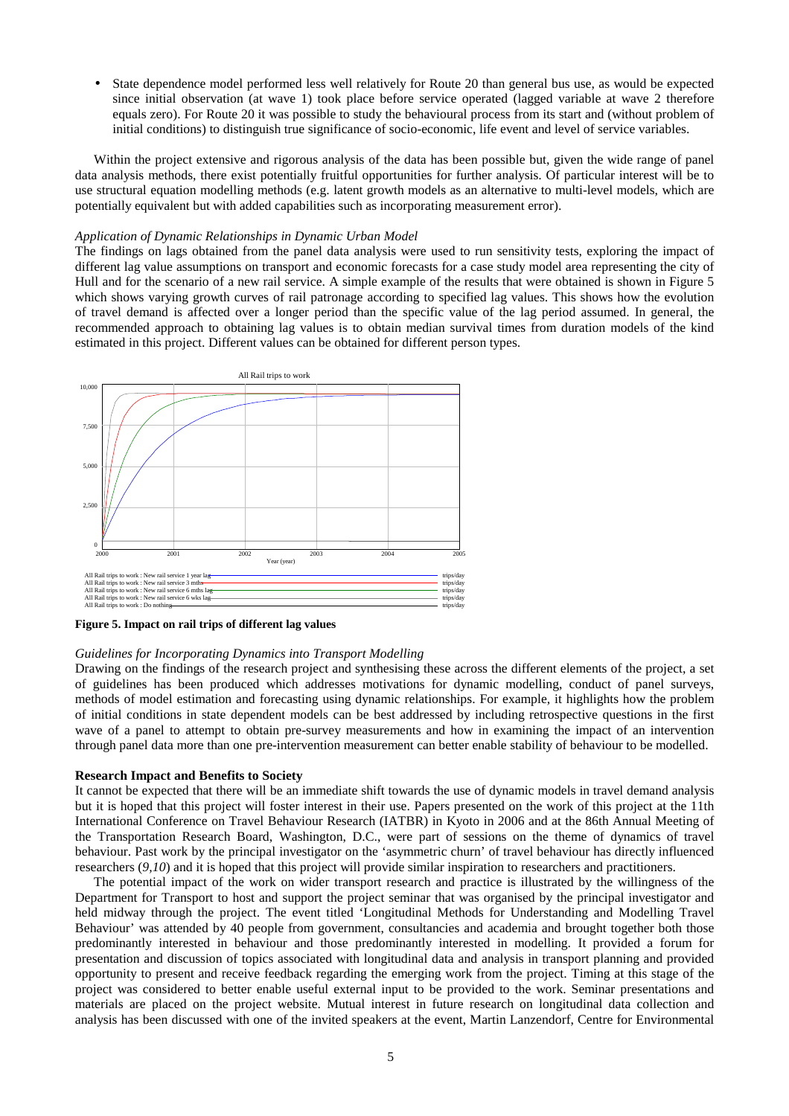• State dependence model performed less well relatively for Route 20 than general bus use, as would be expected since initial observation (at wave 1) took place before service operated (lagged variable at wave 2 therefore equals zero). For Route 20 it was possible to study the behavioural process from its start and (without problem of initial conditions) to distinguish true significance of socio-economic, life event and level of service variables.

Within the project extensive and rigorous analysis of the data has been possible but, given the wide range of panel data analysis methods, there exist potentially fruitful opportunities for further analysis. Of particular interest will be to use structural equation modelling methods (e.g. latent growth models as an alternative to multi-level models, which are potentially equivalent but with added capabilities such as incorporating measurement error).

#### *Application of Dynamic Relationships in Dynamic Urban Model*

The findings on lags obtained from the panel data analysis were used to run sensitivity tests, exploring the impact of different lag value assumptions on transport and economic forecasts for a case study model area representing the city of Hull and for the scenario of a new rail service. A simple example of the results that were obtained is shown in Figure 5 which shows varying growth curves of rail patronage according to specified lag values. This shows how the evolution of travel demand is affected over a longer period than the specific value of the lag period assumed. In general, the recommended approach to obtaining lag values is to obtain median survival times from duration models of the kind estimated in this project. Different values can be obtained for different person types.



**Figure 5. Impact on rail trips of different lag values**

## *Guidelines for Incorporating Dynamics into Transport Modelling*

Drawing on the findings of the research project and synthesising these across the different elements of the project, a set of guidelines has been produced which addresses motivations for dynamic modelling, conduct of panel surveys, methods of model estimation and forecasting using dynamic relationships. For example, it highlights how the problem of initial conditions in state dependent models can be best addressed by including retrospective questions in the first wave of a panel to attempt to obtain pre-survey measurements and how in examining the impact of an intervention through panel data more than one pre-intervention measurement can better enable stability of behaviour to be modelled.

#### **Research Impact and Benefits to Society**

It cannot be expected that there will be an immediate shift towards the use of dynamic models in travel demand analysis but it is hoped that this project will foster interest in their use. Papers presented on the work of this project at the 11th International Conference on Travel Behaviour Research (IATBR) in Kyoto in 2006 and at the 86th Annual Meeting of the Transportation Research Board, Washington, D.C., were part of sessions on the theme of dynamics of travel behaviour. Past work by the principal investigator on the 'asymmetric churn' of travel behaviour has directly influenced researchers (*9,10*) and it is hoped that this project will provide similar inspiration to researchers and practitioners.

The potential impact of the work on wider transport research and practice is illustrated by the willingness of the Department for Transport to host and support the project seminar that was organised by the principal investigator and held midway through the project. The event titled 'Longitudinal Methods for Understanding and Modelling Travel Behaviour' was attended by 40 people from government, consultancies and academia and brought together both those predominantly interested in behaviour and those predominantly interested in modelling. It provided a forum for presentation and discussion of topics associated with longitudinal data and analysis in transport planning and provided opportunity to present and receive feedback regarding the emerging work from the project. Timing at this stage of the project was considered to better enable useful external input to be provided to the work. Seminar presentations and materials are placed on the project website. Mutual interest in future research on longitudinal data collection and analysis has been discussed with one of the invited speakers at the event, Martin Lanzendorf, Centre for Environmental